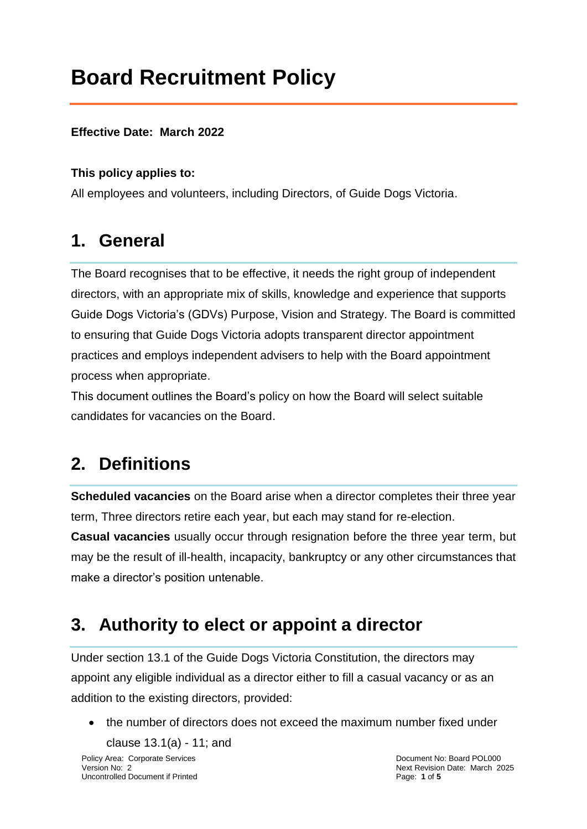# **Board Recruitment Policy**

#### **Effective Date: March 2022**

#### **This policy applies to:**

All employees and volunteers, including Directors, of Guide Dogs Victoria.

### **1. General**

The Board recognises that to be effective, it needs the right group of independent directors, with an appropriate mix of skills, knowledge and experience that supports Guide Dogs Victoria's (GDVs) Purpose, Vision and Strategy. The Board is committed to ensuring that Guide Dogs Victoria adopts transparent director appointment practices and employs independent advisers to help with the Board appointment process when appropriate.

This document outlines the Board's policy on how the Board will select suitable candidates for vacancies on the Board.

### **2. Definitions**

**Scheduled vacancies** on the Board arise when a director completes their three year term, Three directors retire each year, but each may stand for re-election.

**Casual vacancies** usually occur through resignation before the three year term, but may be the result of ill-health, incapacity, bankruptcy or any other circumstances that make a director's position untenable.

### **3. Authority to elect or appoint a director**

Under section 13.1 of the Guide Dogs Victoria Constitution, the directors may appoint any eligible individual as a director either to fill a casual vacancy or as an addition to the existing directors, provided:

the number of directors does not exceed the maximum number fixed under

Policy Area: Corporate Services **Document No: Board POL000** clause 13.1(a) - 11; and

Version No: 2 Next Revision Date: March 2025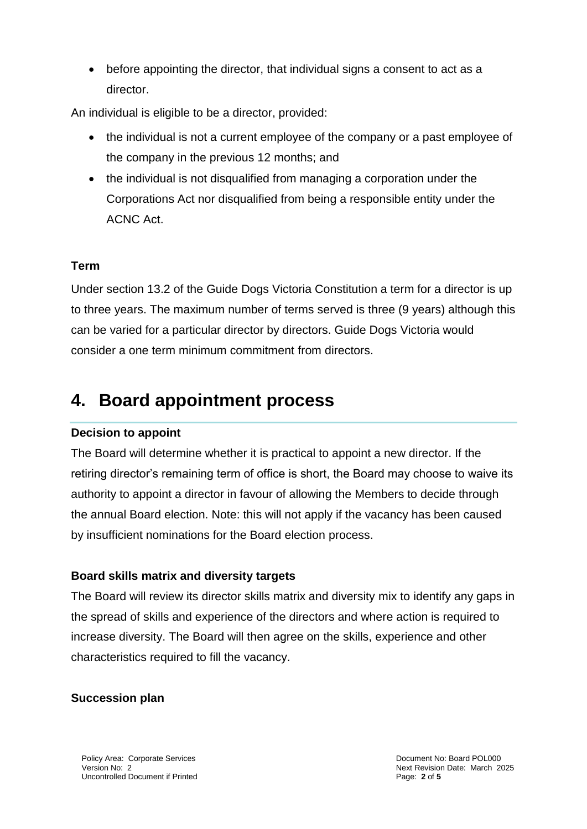before appointing the director, that individual signs a consent to act as a director.

An individual is eligible to be a director, provided:

- the individual is not a current employee of the company or a past employee of the company in the previous 12 months; and
- the individual is not disqualified from managing a corporation under the Corporations Act nor disqualified from being a responsible entity under the ACNC Act.

#### **Term**

Under section 13.2 of the Guide Dogs Victoria Constitution a term for a director is up to three years. The maximum number of terms served is three (9 years) although this can be varied for a particular director by directors. Guide Dogs Victoria would consider a one term minimum commitment from directors.

### **4. Board appointment process**

#### **Decision to appoint**

The Board will determine whether it is practical to appoint a new director. If the retiring director's remaining term of office is short, the Board may choose to waive its authority to appoint a director in favour of allowing the Members to decide through the annual Board election. Note: this will not apply if the vacancy has been caused by insufficient nominations for the Board election process.

#### **Board skills matrix and diversity targets**

The Board will review its director skills matrix and diversity mix to identify any gaps in the spread of skills and experience of the directors and where action is required to increase diversity. The Board will then agree on the skills, experience and other characteristics required to fill the vacancy.

#### **Succession plan**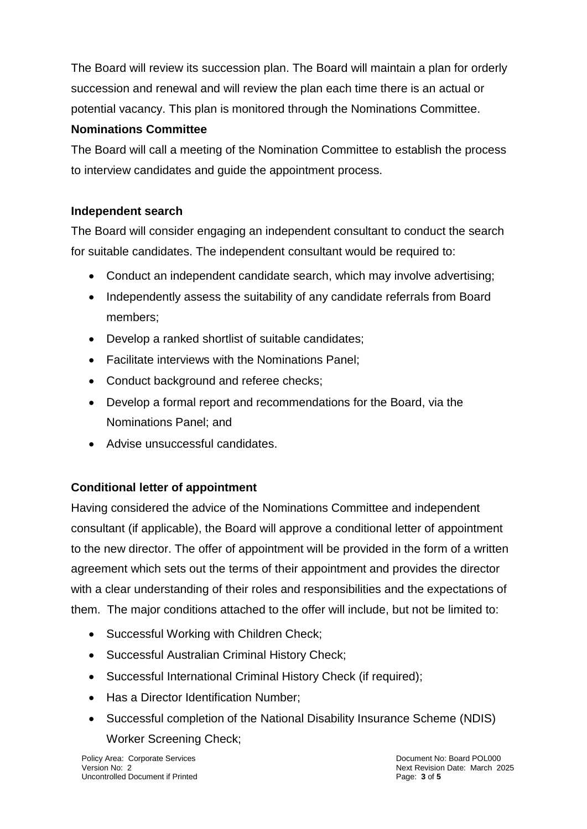The Board will review its succession plan. The Board will maintain a plan for orderly succession and renewal and will review the plan each time there is an actual or potential vacancy. This plan is monitored through the Nominations Committee.

#### **Nominations Committee**

The Board will call a meeting of the Nomination Committee to establish the process to interview candidates and guide the appointment process.

#### **Independent search**

The Board will consider engaging an independent consultant to conduct the search for suitable candidates. The independent consultant would be required to:

- Conduct an independent candidate search, which may involve advertising;
- Independently assess the suitability of any candidate referrals from Board members;
- Develop a ranked shortlist of suitable candidates;
- Facilitate interviews with the Nominations Panel;
- Conduct background and referee checks;
- Develop a formal report and recommendations for the Board, via the Nominations Panel; and
- Advise unsuccessful candidates.

#### **Conditional letter of appointment**

Having considered the advice of the Nominations Committee and independent consultant (if applicable), the Board will approve a conditional letter of appointment to the new director. The offer of appointment will be provided in the form of a written agreement which sets out the terms of their appointment and provides the director with a clear understanding of their roles and responsibilities and the expectations of them. The major conditions attached to the offer will include, but not be limited to:

- Successful Working with Children Check;
- Successful Australian Criminal History Check;
- Successful International Criminal History Check (if required);
- Has a Director Identification Number;
- Successful completion of the National Disability Insurance Scheme (NDIS) Worker Screening Check;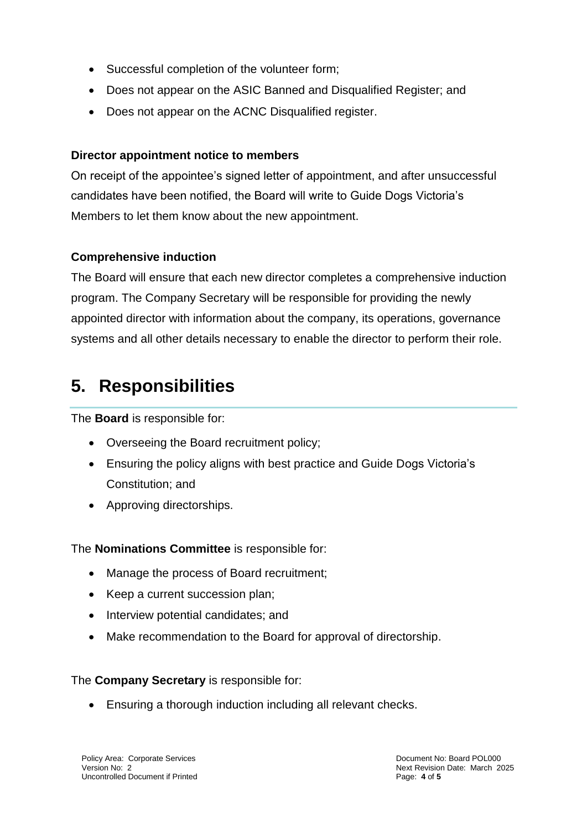- Successful completion of the volunteer form;
- Does not appear on the ASIC Banned and Disqualified Register; and
- Does not appear on the ACNC Disqualified register.

#### **Director appointment notice to members**

On receipt of the appointee's signed letter of appointment, and after unsuccessful candidates have been notified, the Board will write to Guide Dogs Victoria's Members to let them know about the new appointment.

#### **Comprehensive induction**

The Board will ensure that each new director completes a comprehensive induction program. The Company Secretary will be responsible for providing the newly appointed director with information about the company, its operations, governance systems and all other details necessary to enable the director to perform their role.

### **5. Responsibilities**

The **Board** is responsible for:

- Overseeing the Board recruitment policy;
- Ensuring the policy aligns with best practice and Guide Dogs Victoria's Constitution; and
- Approving directorships.

The **Nominations Committee** is responsible for:

- Manage the process of Board recruitment;
- Keep a current succession plan;
- Interview potential candidates; and
- Make recommendation to the Board for approval of directorship.

The **Company Secretary** is responsible for:

Ensuring a thorough induction including all relevant checks.